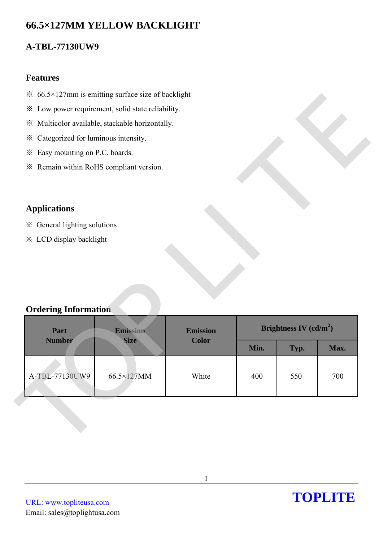# **66.5×127MM YELLOW BACKLIGHT**

## **A-TBL-77130UW9**

### **Features**

- $\frac{36.5 \times 127}{25.6 \times 127}$  is emitting surface size of backlight
- ※ Low power requirement, solid state reliability.
- ※ Multicolor available, stackable horizontally.
- ※ Categorized for luminous intensity.
- ※ Easy mounting on P.C. boards.
- ※ Remain within RoHS compliant version.

## **Applications**

- ※ General lighting solutions
- ※ LCD display backlight

## **Ordering Information**

| * Low power requirement, solid state reliability.<br>※ Multicolor available, stackable horizontally.<br>* Categorized for luminous intensity.<br>* Easy mounting on P.C. boards.<br>* Remain within RoHS compliant version. |                         |                                 |                          |      |      |
|-----------------------------------------------------------------------------------------------------------------------------------------------------------------------------------------------------------------------------|-------------------------|---------------------------------|--------------------------|------|------|
|                                                                                                                                                                                                                             |                         |                                 |                          |      |      |
|                                                                                                                                                                                                                             |                         |                                 |                          |      |      |
|                                                                                                                                                                                                                             |                         |                                 |                          |      |      |
|                                                                                                                                                                                                                             |                         |                                 |                          |      |      |
|                                                                                                                                                                                                                             |                         |                                 |                          |      |      |
|                                                                                                                                                                                                                             |                         |                                 |                          |      |      |
|                                                                                                                                                                                                                             |                         |                                 |                          |      |      |
| <b>Applications</b>                                                                                                                                                                                                         |                         |                                 |                          |      |      |
| ※ General lighting solutions                                                                                                                                                                                                |                         |                                 |                          |      |      |
| <b>※ LCD display backlight</b>                                                                                                                                                                                              |                         |                                 |                          |      |      |
|                                                                                                                                                                                                                             |                         |                                 |                          |      |      |
|                                                                                                                                                                                                                             |                         |                                 |                          |      |      |
|                                                                                                                                                                                                                             |                         |                                 |                          |      |      |
|                                                                                                                                                                                                                             |                         |                                 |                          |      |      |
| <b>Ordering Information</b>                                                                                                                                                                                                 |                         |                                 |                          |      |      |
|                                                                                                                                                                                                                             |                         |                                 | Brightness IV $(cd/m^2)$ |      |      |
| Part                                                                                                                                                                                                                        | Emission<br><b>Size</b> | <b>Emission</b><br><b>Color</b> |                          |      |      |
|                                                                                                                                                                                                                             |                         |                                 |                          |      |      |
| <b>Number</b>                                                                                                                                                                                                               |                         |                                 | Min.                     | Typ. | Max. |
|                                                                                                                                                                                                                             |                         |                                 |                          |      |      |
| A-TBL-77130UW9                                                                                                                                                                                                              | 66.5×127MM              | White                           | 400                      | 550  | 700  |

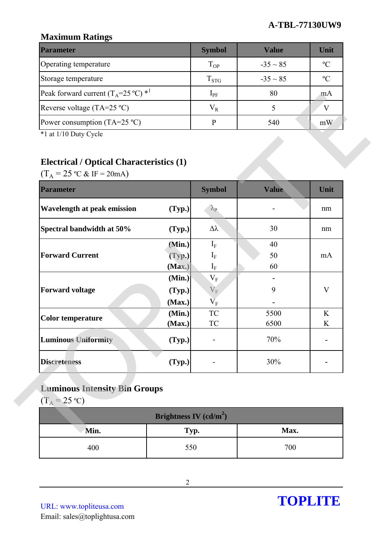## **Maximum Ratings**

| <b>Parameter</b>                                        | <b>Symbol</b> | Value         | Unit          |
|---------------------------------------------------------|---------------|---------------|---------------|
| Operating temperature                                   | $T_{OP}$      | $-35 \sim 85$ | $\rm ^oC$     |
| Storage temperature                                     | $T_{STG}$     | $-35 \sim 85$ | $\mathcal{O}$ |
| Peak forward current $(T_A=25 \degree C)$ <sup>*1</sup> | $1_{\rm PF}$  | 80            | m A           |
| Reverse voltage (TA=25 $^{\circ}$ C)                    | $V_R$         |               |               |
| Power consumption (TA=25 $^{\circ}$ C)                  |               | 540           | mW            |

# **Electrical / Optical Characteristics (1)**

| Peak forward current ( $1_A = 25$ °C) $^{\circ}$                                                                                  |                          | $1_{PF}$                 | $\delta U$ | m <sub>A</sub> |
|-----------------------------------------------------------------------------------------------------------------------------------|--------------------------|--------------------------|------------|----------------|
| Reverse voltage $(TA=25 °C)$                                                                                                      |                          | $V_R$                    | 5          | V              |
| Power consumption (TA=25 $^{\circ}$ C)                                                                                            |                          | $\, {\bf p}$             | 540        | mW             |
| *1 at 1/10 Duty Cycle<br><b>Electrical / Optical Characteristics (1)</b><br>$(T_A = 25 \text{ °C} \& \text{ IF} = 20 \text{ mA})$ |                          |                          |            |                |
| <b>Parameter</b>                                                                                                                  |                          | <b>Symbol</b>            | Value      | Unit           |
| <b>Wavelength at peak emission</b>                                                                                                | (Typ.)                   | $\lambda_{\rm P}$        |            | nm             |
| Spectral bandwidth at 50%                                                                                                         | (Typ.)                   | $\Delta \lambda$         | 30         | nm             |
|                                                                                                                                   | (Min.)                   | $I_F$                    | 40         |                |
| <b>Forward Current</b>                                                                                                            | (Typ.)                   | $I_F$                    | 50         | mA             |
|                                                                                                                                   | (Max.)<br>(Min.)         | $\rm I_{F}$<br>$\rm V_F$ | 60         |                |
| <b>Forward voltage</b>                                                                                                            | (Typ.)                   | $V_{F}$                  | 9          | $\mathbf{V}$   |
|                                                                                                                                   | (Max.)                   | $\overline{V}_F$         |            |                |
| <b>Color temperature</b>                                                                                                          | (Min.)                   | ${\rm TC}$               | 5500       | K              |
|                                                                                                                                   | (Max.)                   | <b>TC</b>                | 6500       | K              |
| <b>Luminous Uniformity</b>                                                                                                        | (Typ.)                   |                          | $70\%$     |                |
| <b>Discreteness</b>                                                                                                               | (Typ.)                   |                          | 30%        |                |
| <b>Luminous Intensity Bin Groups</b><br>$(T_A = 25 \text{ °C})$                                                                   |                          |                          |            |                |
|                                                                                                                                   | Brightness IV $(cd/m^2)$ |                          |            |                |
| Min.                                                                                                                              | Typ.                     |                          | Max.       |                |
| 400                                                                                                                               | 550                      |                          | 700        |                |

# **Luminous Intensity Bin Groups**

| Brightness IV $(cd/m^2)$ |      |      |  |  |  |
|--------------------------|------|------|--|--|--|
| Min.                     | Typ. | Max. |  |  |  |
| 400                      | 550  | 700  |  |  |  |

URL: www.topliteusa.com Email: sales@toplightusa.com

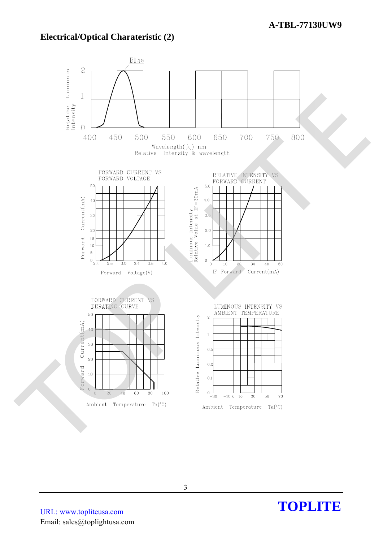## **Electrical/Optical Charateristic (2)**



URL: www.topliteusa.com Email: sales@toplightusa.com

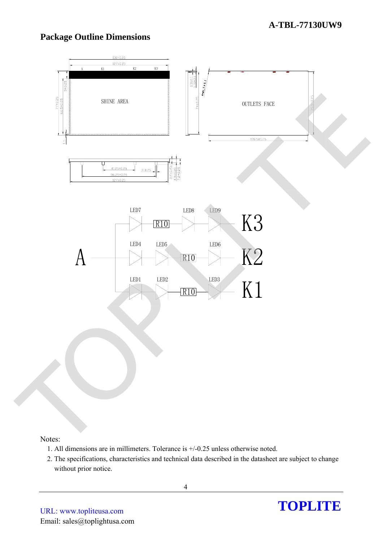## **Package Outline Dimensions**



Notes:

- 1. All dimensions are in millimeters. Tolerance is +/-0.25 unless otherwise noted.
- 2. The specifications, characteristics and technical data described in the datasheet are subject to change without prior notice.